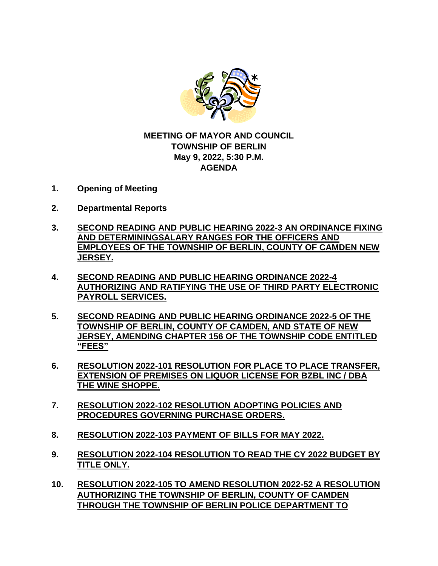

## **MEETING OF MAYOR AND COUNCIL TOWNSHIP OF BERLIN May 9, 2022, 5:30 P.M. AGENDA**

- **1. Opening of Meeting**
- **2. Departmental Reports**
- **3. SECOND READING AND PUBLIC HEARING 2022-3 AN ORDINANCE FIXING AND DETERMININGSALARY RANGES FOR THE OFFICERS AND EMPLOYEES OF THE TOWNSHIP OF BERLIN, COUNTY OF CAMDEN NEW JERSEY.**
- **4. SECOND READING AND PUBLIC HEARING ORDINANCE 2022-4 AUTHORIZING AND RATIFYING THE USE OF THIRD PARTY ELECTRONIC PAYROLL SERVICES.**
- **5. SECOND READING AND PUBLIC HEARING ORDINANCE 2022-5 OF THE TOWNSHIP OF BERLIN, COUNTY OF CAMDEN, AND STATE OF NEW JERSEY, AMENDING CHAPTER 156 OF THE TOWNSHIP CODE ENTITLED "FEES"**
- **6. RESOLUTION 2022-101 RESOLUTION FOR PLACE TO PLACE TRANSFER, EXTENSION OF PREMISES ON LIQUOR LICENSE FOR BZBL INC / DBA THE WINE SHOPPE.**
- **7. RESOLUTION 2022-102 RESOLUTION ADOPTING POLICIES AND PROCEDURES GOVERNING PURCHASE ORDERS.**
- **8. RESOLUTION 2022-103 PAYMENT OF BILLS FOR MAY 2022.**
- **9. RESOLUTION 2022-104 RESOLUTION TO READ THE CY 2022 BUDGET BY TITLE ONLY.**
- **10. RESOLUTION 2022-105 TO AMEND RESOLUTION 2022-52 A RESOLUTION AUTHORIZING THE TOWNSHIP OF BERLIN, COUNTY OF CAMDEN THROUGH THE TOWNSHIP OF BERLIN POLICE DEPARTMENT TO**